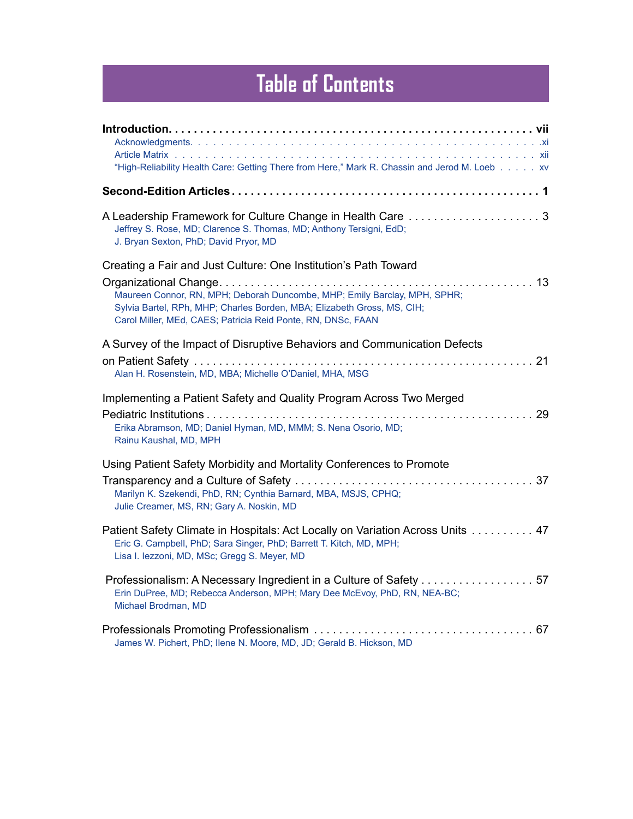## **Table of Contents**

| "High-Reliability Health Care: Getting There from Here," Mark R. Chassin and Jerod M. Loeb xv                                                                                                                                                                                           |  |
|-----------------------------------------------------------------------------------------------------------------------------------------------------------------------------------------------------------------------------------------------------------------------------------------|--|
|                                                                                                                                                                                                                                                                                         |  |
| Jeffrey S. Rose, MD; Clarence S. Thomas, MD; Anthony Tersigni, EdD;<br>J. Bryan Sexton, PhD; David Pryor, MD                                                                                                                                                                            |  |
| Creating a Fair and Just Culture: One Institution's Path Toward<br>Maureen Connor, RN, MPH; Deborah Duncombe, MHP; Emily Barclay, MPH, SPHR;<br>Sylvia Bartel, RPh, MHP; Charles Borden, MBA; Elizabeth Gross, MS, CIH;<br>Carol Miller, MEd, CAES; Patricia Reid Ponte, RN, DNSc, FAAN |  |
| A Survey of the Impact of Disruptive Behaviors and Communication Defects<br>Alan H. Rosenstein, MD, MBA; Michelle O'Daniel, MHA, MSG                                                                                                                                                    |  |
| Implementing a Patient Safety and Quality Program Across Two Merged<br>Erika Abramson, MD; Daniel Hyman, MD, MMM; S. Nena Osorio, MD;<br>Rainu Kaushal, MD, MPH                                                                                                                         |  |
| Using Patient Safety Morbidity and Mortality Conferences to Promote<br>Marilyn K. Szekendi, PhD, RN; Cynthia Barnard, MBA, MSJS, CPHQ;<br>Julie Creamer, MS, RN; Gary A. Noskin, MD                                                                                                     |  |
| Patient Safety Climate in Hospitals: Act Locally on Variation Across Units 47<br>Eric G. Campbell, PhD; Sara Singer, PhD; Barrett T. Kitch, MD, MPH;<br>Lisa I. lezzoni, MD, MSc; Gregg S. Meyer, MD                                                                                    |  |
| Professionalism: A Necessary Ingredient in a Culture of Safety 57<br>Erin DuPree, MD; Rebecca Anderson, MPH; Mary Dee McEvoy, PhD, RN, NEA-BC;<br>Michael Brodman, MD                                                                                                                   |  |
| James W. Pichert, PhD; Ilene N. Moore, MD, JD; Gerald B. Hickson, MD                                                                                                                                                                                                                    |  |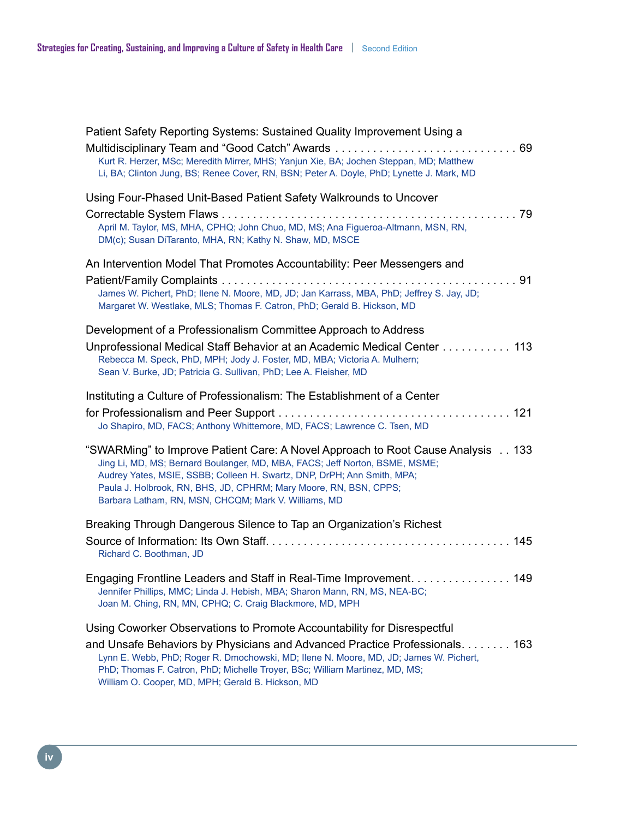| Patient Safety Reporting Systems: Sustained Quality Improvement Using a<br>Kurt R. Herzer, MSc; Meredith Mirrer, MHS; Yanjun Xie, BA; Jochen Steppan, MD; Matthew<br>Li, BA; Clinton Jung, BS; Renee Cover, RN, BSN; Peter A. Doyle, PhD; Lynette J. Mark, MD                                                                                                                      |
|------------------------------------------------------------------------------------------------------------------------------------------------------------------------------------------------------------------------------------------------------------------------------------------------------------------------------------------------------------------------------------|
| Using Four-Phased Unit-Based Patient Safety Walkrounds to Uncover<br>April M. Taylor, MS, MHA, CPHQ; John Chuo, MD, MS; Ana Figueroa-Altmann, MSN, RN,<br>DM(c); Susan DiTaranto, MHA, RN; Kathy N. Shaw, MD, MSCE                                                                                                                                                                 |
| An Intervention Model That Promotes Accountability: Peer Messengers and<br>James W. Pichert, PhD; Ilene N. Moore, MD, JD; Jan Karrass, MBA, PhD; Jeffrey S. Jay, JD;<br>Margaret W. Westlake, MLS; Thomas F. Catron, PhD; Gerald B. Hickson, MD                                                                                                                                    |
| Development of a Professionalism Committee Approach to Address<br>Unprofessional Medical Staff Behavior at an Academic Medical Center 113<br>Rebecca M. Speck, PhD, MPH; Jody J. Foster, MD, MBA; Victoria A. Mulhern;<br>Sean V. Burke, JD; Patricia G. Sullivan, PhD; Lee A. Fleisher, MD                                                                                        |
| Instituting a Culture of Professionalism: The Establishment of a Center<br>Jo Shapiro, MD, FACS; Anthony Whittemore, MD, FACS; Lawrence C. Tsen, MD                                                                                                                                                                                                                                |
| "SWARMing" to Improve Patient Care: A Novel Approach to Root Cause Analysis 133<br>Jing Li, MD, MS; Bernard Boulanger, MD, MBA, FACS; Jeff Norton, BSME, MSME;<br>Audrey Yates, MSIE, SSBB; Colleen H. Swartz, DNP, DrPH; Ann Smith, MPA;<br>Paula J. Holbrook, RN, BHS, JD, CPHRM; Mary Moore, RN, BSN, CPPS;<br>Barbara Latham, RN, MSN, CHCQM; Mark V. Williams, MD             |
| Breaking Through Dangerous Silence to Tap an Organization's Richest<br>Richard C. Boothman, JD                                                                                                                                                                                                                                                                                     |
| Engaging Frontline Leaders and Staff in Real-Time Improvement. 149<br>Jennifer Phillips, MMC; Linda J. Hebish, MBA; Sharon Mann, RN, MS, NEA-BC;<br>Joan M. Ching, RN, MN, CPHQ; C. Craig Blackmore, MD, MPH                                                                                                                                                                       |
| Using Coworker Observations to Promote Accountability for Disrespectful<br>and Unsafe Behaviors by Physicians and Advanced Practice Professionals 163<br>Lynn E. Webb, PhD; Roger R. Dmochowski, MD; Ilene N. Moore, MD, JD; James W. Pichert,<br>PhD; Thomas F. Catron, PhD; Michelle Troyer, BSc; William Martinez, MD, MS;<br>William O. Cooper, MD, MPH; Gerald B. Hickson, MD |